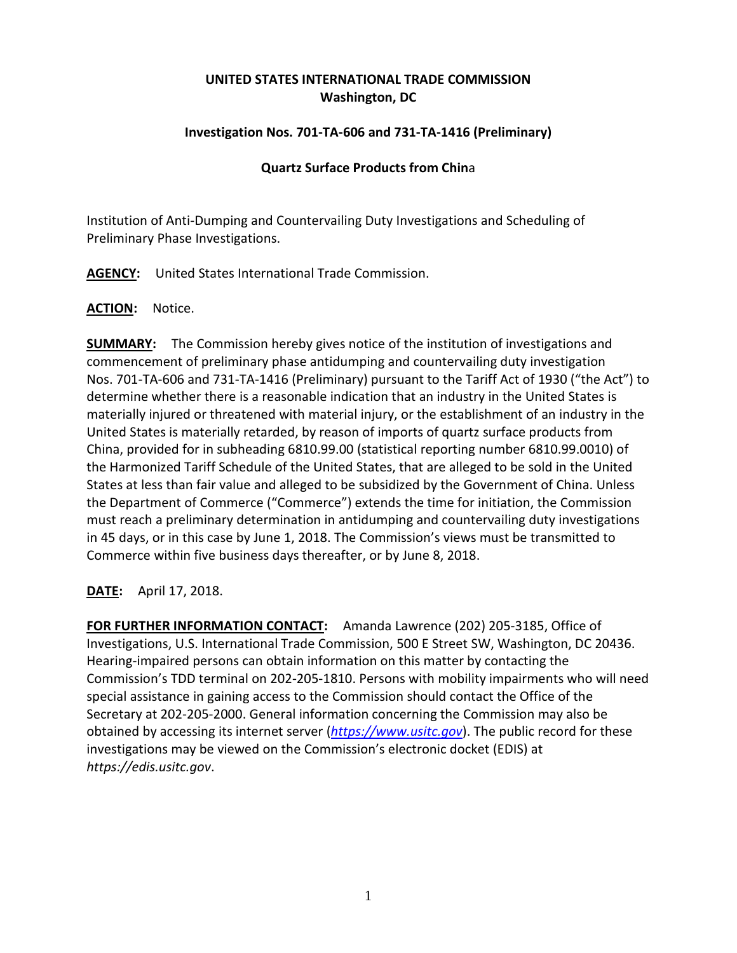# **UNITED STATES INTERNATIONAL TRADE COMMISSION Washington, DC**

## **Investigation Nos. 701-TA-606 and 731-TA-1416 (Preliminary)**

### **Quartz Surface Products from Chin**a

Institution of Anti-Dumping and Countervailing Duty Investigations and Scheduling of Preliminary Phase Investigations.

**AGENCY:** United States International Trade Commission.

### **ACTION:** Notice.

**SUMMARY:** The Commission hereby gives notice of the institution of investigations and commencement of preliminary phase antidumping and countervailing duty investigation Nos. 701-TA-606 and 731-TA-1416 (Preliminary) pursuant to the Tariff Act of 1930 ("the Act") to determine whether there is a reasonable indication that an industry in the United States is materially injured or threatened with material injury, or the establishment of an industry in the United States is materially retarded, by reason of imports of quartz surface products from China, provided for in subheading 6810.99.00 (statistical reporting number 6810.99.0010) of the Harmonized Tariff Schedule of the United States, that are alleged to be sold in the United States at less than fair value and alleged to be subsidized by the Government of China. Unless the Department of Commerce ("Commerce") extends the time for initiation, the Commission must reach a preliminary determination in antidumping and countervailing duty investigations in 45 days, or in this case by June 1, 2018. The Commission's views must be transmitted to Commerce within five business days thereafter, or by June 8, 2018.

### **DATE:** April 17, 2018.

**FOR FURTHER INFORMATION CONTACT:** Amanda Lawrence (202) 205-3185, Office of Investigations, U.S. International Trade Commission, 500 E Street SW, Washington, DC 20436. Hearing-impaired persons can obtain information on this matter by contacting the Commission's TDD terminal on 202-205-1810. Persons with mobility impairments who will need special assistance in gaining access to the Commission should contact the Office of the Secretary at 202-205-2000. General information concerning the Commission may also be obtained by accessing its internet server (*[https://www.usitc.gov](https://www.usitc.gov/)*). The public record for these investigations may be viewed on the Commission's electronic docket (EDIS) at *https://edis.usitc.gov*.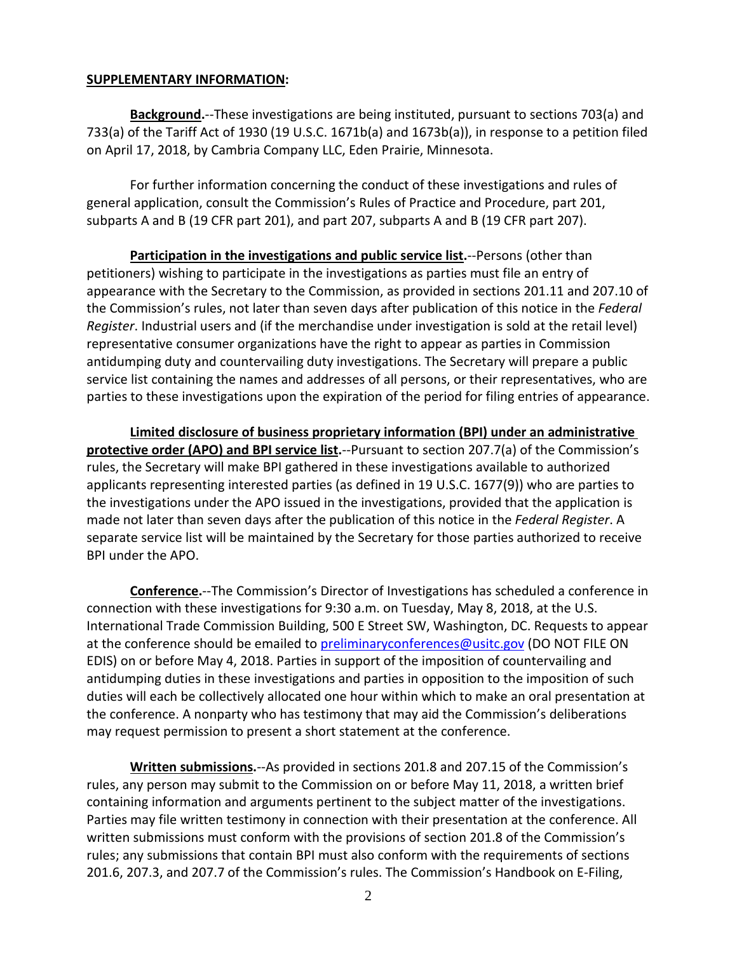#### **SUPPLEMENTARY INFORMATION:**

**Background.**--These investigations are being instituted, pursuant to sections 703(a) and 733(a) of the Tariff Act of 1930 (19 U.S.C. 1671b(a) and 1673b(a)), in response to a petition filed on April 17, 2018, by Cambria Company LLC, Eden Prairie, Minnesota.

For further information concerning the conduct of these investigations and rules of general application, consult the Commission's Rules of Practice and Procedure, part 201, subparts A and B (19 CFR part 201), and part 207, subparts A and B (19 CFR part 207).

**Participation in the investigations and public service list.**--Persons (other than petitioners) wishing to participate in the investigations as parties must file an entry of appearance with the Secretary to the Commission, as provided in sections 201.11 and 207.10 of the Commission's rules, not later than seven days after publication of this notice in the *Federal Register*. Industrial users and (if the merchandise under investigation is sold at the retail level) representative consumer organizations have the right to appear as parties in Commission antidumping duty and countervailing duty investigations. The Secretary will prepare a public service list containing the names and addresses of all persons, or their representatives, who are parties to these investigations upon the expiration of the period for filing entries of appearance.

**Limited disclosure of business proprietary information (BPI) under an administrative protective order (APO) and BPI service list.**--Pursuant to section 207.7(a) of the Commission's rules, the Secretary will make BPI gathered in these investigations available to authorized applicants representing interested parties (as defined in 19 U.S.C. 1677(9)) who are parties to the investigations under the APO issued in the investigations, provided that the application is made not later than seven days after the publication of this notice in the *Federal Register*. A separate service list will be maintained by the Secretary for those parties authorized to receive BPI under the APO.

**Conference.**--The Commission's Director of Investigations has scheduled a conference in connection with these investigations for 9:30 a.m. on Tuesday, May 8, 2018, at the U.S. International Trade Commission Building, 500 E Street SW, Washington, DC. Requests to appear at the conference should be emailed to [preliminaryconferences@usitc.gov](mailto:preliminaryconferences@usitc.gov) (DO NOT FILE ON EDIS) on or before May 4, 2018. Parties in support of the imposition of countervailing and antidumping duties in these investigations and parties in opposition to the imposition of such duties will each be collectively allocated one hour within which to make an oral presentation at the conference. A nonparty who has testimony that may aid the Commission's deliberations may request permission to present a short statement at the conference.

**Written submissions.**--As provided in sections 201.8 and 207.15 of the Commission's rules, any person may submit to the Commission on or before May 11, 2018, a written brief containing information and arguments pertinent to the subject matter of the investigations. Parties may file written testimony in connection with their presentation at the conference. All written submissions must conform with the provisions of section 201.8 of the Commission's rules; any submissions that contain BPI must also conform with the requirements of sections 201.6, 207.3, and 207.7 of the Commission's rules. The Commission's Handbook on E-Filing,